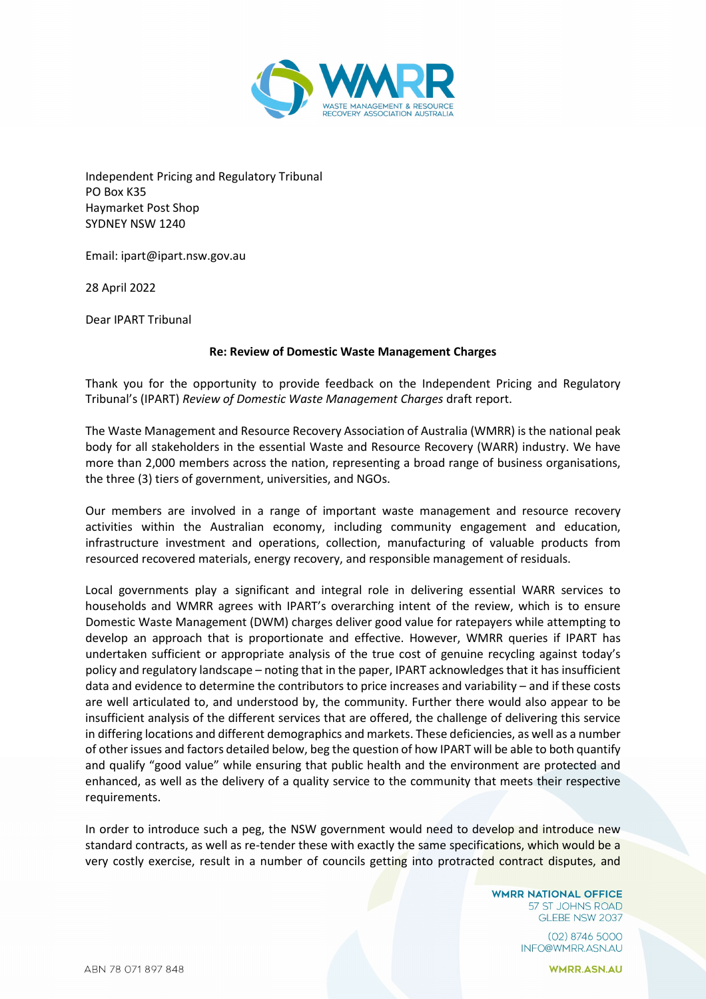

Independent Pricing and Regulatory Tribunal PO Box K35 Haymarket Post Shop SYDNEY NSW 1240

Email: ipart@ipart.nsw.gov.au

28 April 2022

Dear IPART Tribunal

## **Re: Review of Domestic Waste Management Charges**

Thank you for the opportunity to provide feedback on the Independent Pricing and Regulatory Tribunal's (IPART) *Review of Domestic Waste Management Charges* draft report.

The Waste Management and Resource Recovery Association of Australia (WMRR) is the national peak body for all stakeholders in the essential Waste and Resource Recovery (WARR) industry. We have more than 2,000 members across the nation, representing a broad range of business organisations, the three (3) tiers of government, universities, and NGOs.

Our members are involved in a range of important waste management and resource recovery activities within the Australian economy, including community engagement and education, infrastructure investment and operations, collection, manufacturing of valuable products from resourced recovered materials, energy recovery, and responsible management of residuals.

Local governments play a significant and integral role in delivering essential WARR services to households and WMRR agrees with IPART's overarching intent of the review, which is to ensure Domestic Waste Management (DWM) charges deliver good value for ratepayers while attempting to develop an approach that is proportionate and effective. However, WMRR queries if IPART has undertaken sufficient or appropriate analysis of the true cost of genuine recycling against today's policy and regulatory landscape – noting that in the paper, IPART acknowledges that it has insufficient data and evidence to determine the contributors to price increases and variability – and if these costs are well articulated to, and understood by, the community. Further there would also appear to be insufficient analysis of the different services that are offered, the challenge of delivering this service in differing locations and different demographics and markets. These deficiencies, as well as a number of other issues and factors detailed below, beg the question of how IPART will be able to both quantify and qualify "good value" while ensuring that public health and the environment are protected and enhanced, as well as the delivery of a quality service to the community that meets their respective requirements.

In order to introduce such a peg, the NSW government would need to develop and introduce new standard contracts, as well as re-tender these with exactly the same specifications, which would be a very costly exercise, result in a number of councils getting into protracted contract disputes, and

> **WMRR NATIONAL OFFICE** 57 ST JOHNS ROAD GLEBE NSW 2037

> > (02) 8746 5000 INFO@WMRR.ASN.AU

> > > **WMRR.ASN.AU**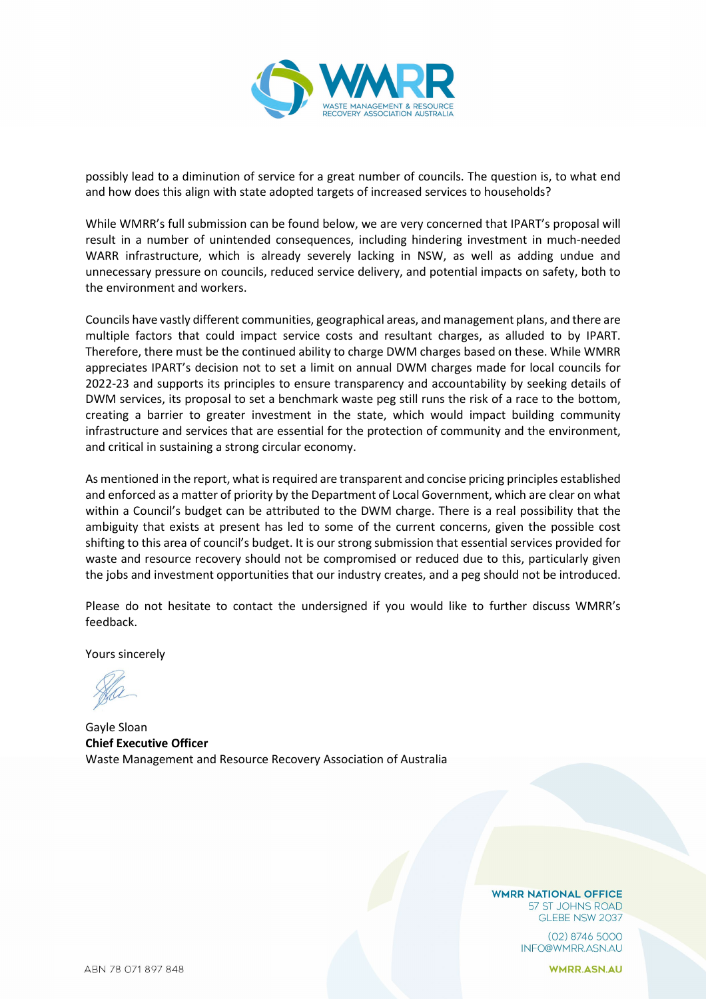

possibly lead to a diminution of service for a great number of councils. The question is, to what end and how does this align with state adopted targets of increased services to households?

While WMRR's full submission can be found below, we are very concerned that IPART's proposal will result in a number of unintended consequences, including hindering investment in much-needed WARR infrastructure, which is already severely lacking in NSW, as well as adding undue and unnecessary pressure on councils, reduced service delivery, and potential impacts on safety, both to the environment and workers.

Councils have vastly different communities, geographical areas, and management plans, and there are multiple factors that could impact service costs and resultant charges, as alluded to by IPART. Therefore, there must be the continued ability to charge DWM charges based on these. While WMRR appreciates IPART's decision not to set a limit on annual DWM charges made for local councils for 2022-23 and supports its principles to ensure transparency and accountability by seeking details of DWM services, its proposal to set a benchmark waste peg still runs the risk of a race to the bottom, creating a barrier to greater investment in the state, which would impact building community infrastructure and services that are essential for the protection of community and the environment, and critical in sustaining a strong circular economy.

As mentioned in the report, what is required are transparent and concise pricing principles established and enforced as a matter of priority by the Department of Local Government, which are clear on what within a Council's budget can be attributed to the DWM charge. There is a real possibility that the ambiguity that exists at present has led to some of the current concerns, given the possible cost shifting to this area of council's budget. It is our strong submission that essential services provided for waste and resource recovery should not be compromised or reduced due to this, particularly given the jobs and investment opportunities that our industry creates, and a peg should not be introduced.

Please do not hesitate to contact the undersigned if you would like to further discuss WMRR's feedback.

Yours sincerely

Gayle Sloan **Chief Executive Officer** Waste Management and Resource Recovery Association of Australia

**WMRR NATIONAL OFFICE** 57 ST JOHNS ROAD GLEBE NSW 2037

> $(02)$  8746 5000 INFO@WMRR.ASN.AU

> > **WMRR.ASN.AU**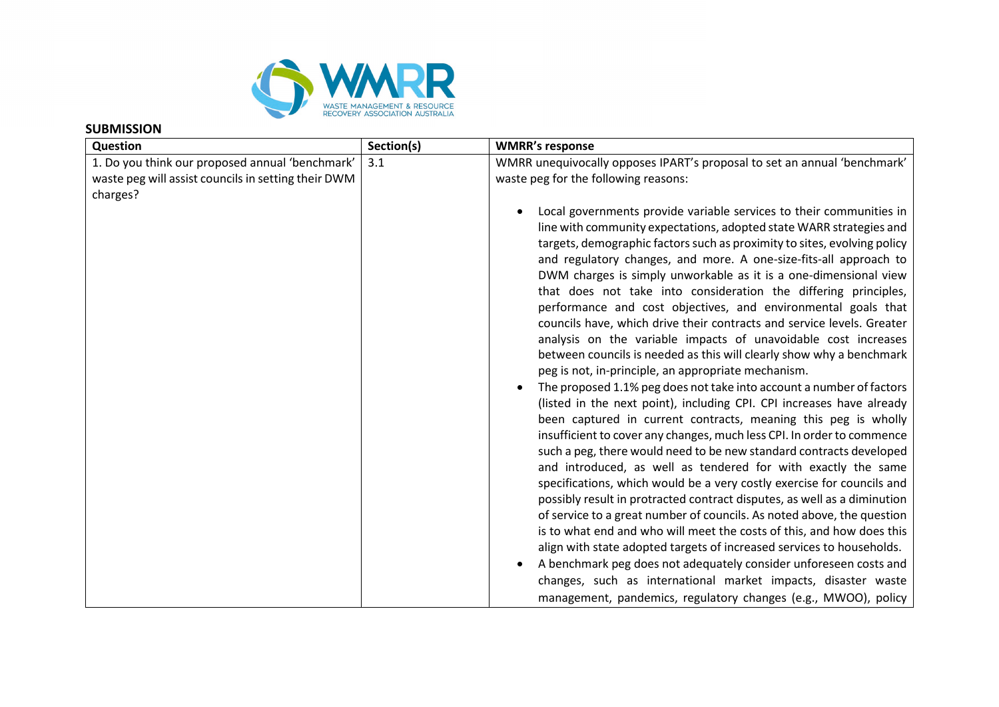

## **SUBMISSION**

| Section(s) | <b>WMRR's response</b>                                                                                                                                                                                                                                                                                                                                                                                                                                                                                                                                                                                                                                                                                                                                                                                                                                                                                                                                                                                                                                                                                                                                                                                                                                                                                                                                                                                                                                                                                                                                                                                                                                                     |
|------------|----------------------------------------------------------------------------------------------------------------------------------------------------------------------------------------------------------------------------------------------------------------------------------------------------------------------------------------------------------------------------------------------------------------------------------------------------------------------------------------------------------------------------------------------------------------------------------------------------------------------------------------------------------------------------------------------------------------------------------------------------------------------------------------------------------------------------------------------------------------------------------------------------------------------------------------------------------------------------------------------------------------------------------------------------------------------------------------------------------------------------------------------------------------------------------------------------------------------------------------------------------------------------------------------------------------------------------------------------------------------------------------------------------------------------------------------------------------------------------------------------------------------------------------------------------------------------------------------------------------------------------------------------------------------------|
| 3.1        | WMRR unequivocally opposes IPART's proposal to set an annual 'benchmark'                                                                                                                                                                                                                                                                                                                                                                                                                                                                                                                                                                                                                                                                                                                                                                                                                                                                                                                                                                                                                                                                                                                                                                                                                                                                                                                                                                                                                                                                                                                                                                                                   |
|            | waste peg for the following reasons:                                                                                                                                                                                                                                                                                                                                                                                                                                                                                                                                                                                                                                                                                                                                                                                                                                                                                                                                                                                                                                                                                                                                                                                                                                                                                                                                                                                                                                                                                                                                                                                                                                       |
|            |                                                                                                                                                                                                                                                                                                                                                                                                                                                                                                                                                                                                                                                                                                                                                                                                                                                                                                                                                                                                                                                                                                                                                                                                                                                                                                                                                                                                                                                                                                                                                                                                                                                                            |
|            | Local governments provide variable services to their communities in<br>line with community expectations, adopted state WARR strategies and<br>targets, demographic factors such as proximity to sites, evolving policy<br>and regulatory changes, and more. A one-size-fits-all approach to<br>DWM charges is simply unworkable as it is a one-dimensional view<br>that does not take into consideration the differing principles,<br>performance and cost objectives, and environmental goals that<br>councils have, which drive their contracts and service levels. Greater<br>analysis on the variable impacts of unavoidable cost increases<br>between councils is needed as this will clearly show why a benchmark<br>peg is not, in-principle, an appropriate mechanism.<br>The proposed 1.1% peg does not take into account a number of factors<br>(listed in the next point), including CPI. CPI increases have already<br>been captured in current contracts, meaning this peg is wholly<br>insufficient to cover any changes, much less CPI. In order to commence<br>such a peg, there would need to be new standard contracts developed<br>and introduced, as well as tendered for with exactly the same<br>specifications, which would be a very costly exercise for councils and<br>possibly result in protracted contract disputes, as well as a diminution<br>of service to a great number of councils. As noted above, the question<br>is to what end and who will meet the costs of this, and how does this<br>align with state adopted targets of increased services to households.<br>A benchmark peg does not adequately consider unforeseen costs and |
|            |                                                                                                                                                                                                                                                                                                                                                                                                                                                                                                                                                                                                                                                                                                                                                                                                                                                                                                                                                                                                                                                                                                                                                                                                                                                                                                                                                                                                                                                                                                                                                                                                                                                                            |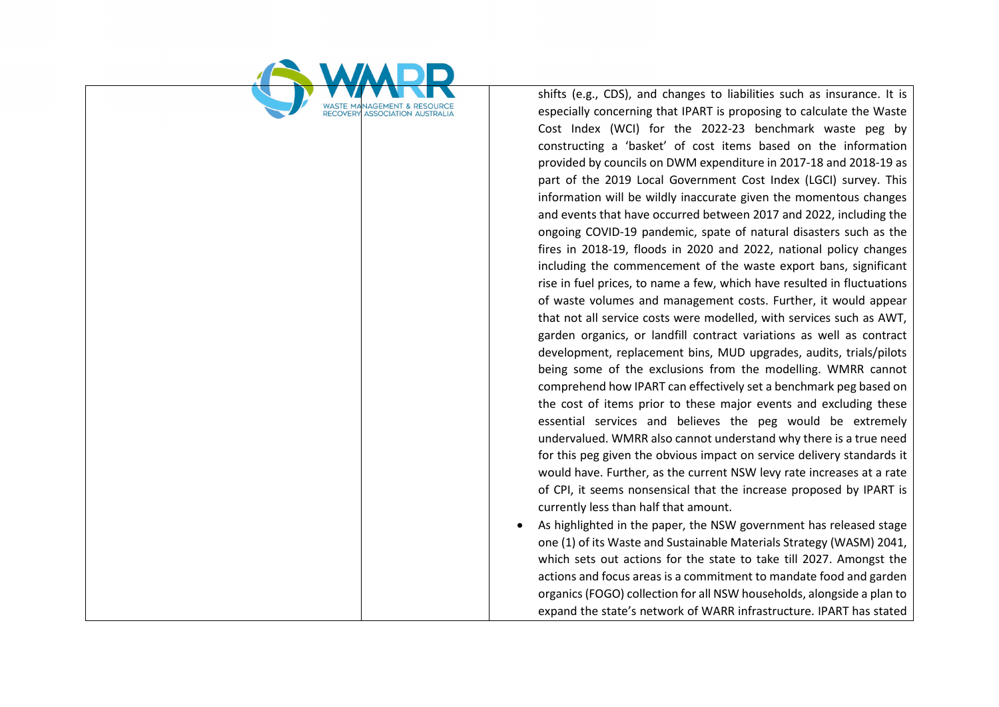

shifts (e.g., CDS), and changes to liabilities such as insurance. It is especially concerning that IPART is proposing to calculate the Waste Cost Index (WCI) for the 2022-23 benchmark waste peg by constructing a 'basket' of cost items based on the information provided by councils on DWM expenditure in 2017-18 and 2018-19 as part of the 2019 Local Government Cost Index (LGCI) survey. This information will be wildly inaccurate given the momentous changes and events that have occurred between 2017 and 2022, including the ongoing COVID-19 pandemic, spate of natural disasters such as the fires in 2018-19, floods in 2020 and 2022, national policy changes including the commencement of the waste export bans, significant rise in fuel prices, to name a few, which have resulted in fluctuations of waste volumes and management costs. Further, it would appear that not all service costs were modelled, with services such as AWT, garden organics, or landfill contract variations as well as contract development, replacement bins, MUD upgrades, audits, trials/pilots being some of the exclusions from the modelling. WMRR cannot comprehend how IPART can effectively set a benchmark peg based on the cost of items prior to these major events and excluding these essential services and believes the peg would be extremely undervalued. WMRR also cannot understand why there is a true need for this peg given the obvious impact on service delivery standards it would have. Further, as the current NSW levy rate increases at a rate of CPI, it seems nonsensical that the increase proposed by IPART is currently less than half that amount.

• As highlighted in the paper, the NSW government has released stage one (1) of its Waste and Sustainable Materials Strategy (WASM) 2041, which sets out actions for the state to take till 2027. Amongst the actions and focus areas is a commitment to mandate food and garden organics (FOGO) collection for all NSW households, alongside a plan to expand the state's network of WARR infrastructure. IPART has stated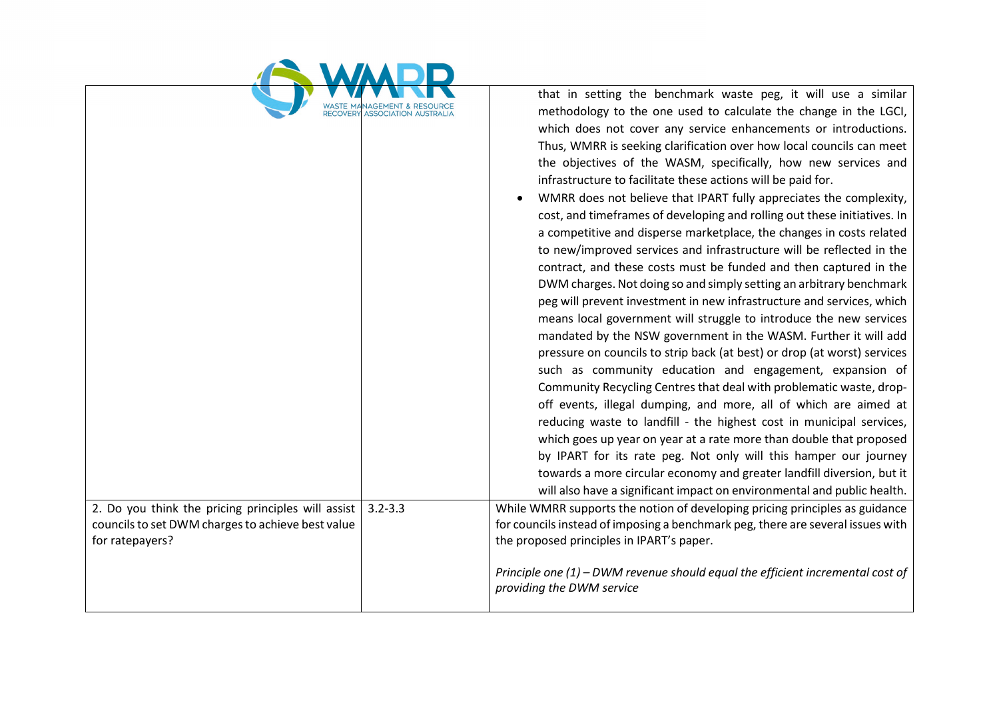| <b>RECOVER</b>                                                                                                             |             | that in setting the benchmark waste peg, it will use a similar<br>methodology to the one used to calculate the change in the LGCI,<br>which does not cover any service enhancements or introductions.<br>Thus, WMRR is seeking clarification over how local councils can meet<br>the objectives of the WASM, specifically, how new services and<br>infrastructure to facilitate these actions will be paid for.<br>WMRR does not believe that IPART fully appreciates the complexity,<br>cost, and timeframes of developing and rolling out these initiatives. In<br>a competitive and disperse marketplace, the changes in costs related<br>to new/improved services and infrastructure will be reflected in the<br>contract, and these costs must be funded and then captured in the<br>DWM charges. Not doing so and simply setting an arbitrary benchmark<br>peg will prevent investment in new infrastructure and services, which<br>means local government will struggle to introduce the new services<br>mandated by the NSW government in the WASM. Further it will add<br>pressure on councils to strip back (at best) or drop (at worst) services<br>such as community education and engagement, expansion of<br>Community Recycling Centres that deal with problematic waste, drop-<br>off events, illegal dumping, and more, all of which are aimed at<br>reducing waste to landfill - the highest cost in municipal services,<br>which goes up year on year at a rate more than double that proposed<br>by IPART for its rate peg. Not only will this hamper our journey<br>towards a more circular economy and greater landfill diversion, but it<br>will also have a significant impact on environmental and public health. |
|----------------------------------------------------------------------------------------------------------------------------|-------------|--------------------------------------------------------------------------------------------------------------------------------------------------------------------------------------------------------------------------------------------------------------------------------------------------------------------------------------------------------------------------------------------------------------------------------------------------------------------------------------------------------------------------------------------------------------------------------------------------------------------------------------------------------------------------------------------------------------------------------------------------------------------------------------------------------------------------------------------------------------------------------------------------------------------------------------------------------------------------------------------------------------------------------------------------------------------------------------------------------------------------------------------------------------------------------------------------------------------------------------------------------------------------------------------------------------------------------------------------------------------------------------------------------------------------------------------------------------------------------------------------------------------------------------------------------------------------------------------------------------------------------------------------------------------------------------------------------------------------------------------|
| 2. Do you think the pricing principles will assist<br>councils to set DWM charges to achieve best value<br>for ratepayers? | $3.2 - 3.3$ | While WMRR supports the notion of developing pricing principles as guidance<br>for councils instead of imposing a benchmark peg, there are several issues with<br>the proposed principles in IPART's paper.<br>Principle one (1) - DWM revenue should equal the efficient incremental cost of<br>providing the DWM service                                                                                                                                                                                                                                                                                                                                                                                                                                                                                                                                                                                                                                                                                                                                                                                                                                                                                                                                                                                                                                                                                                                                                                                                                                                                                                                                                                                                                 |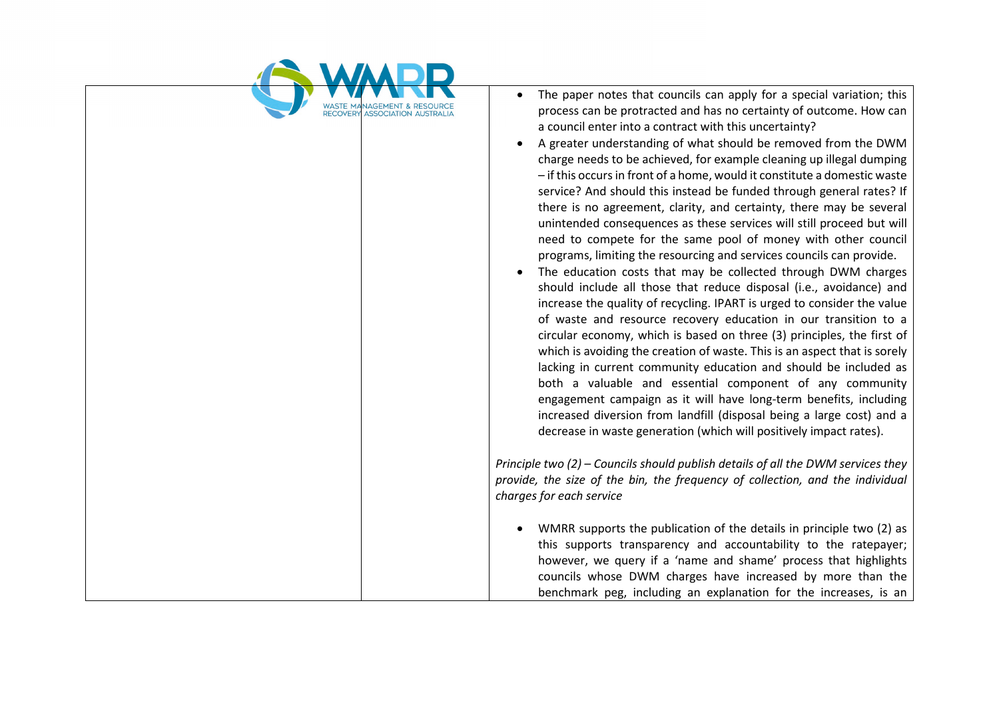

- The paper notes that councils can apply for a special variation: this process can be protracted and has no certainty of outcome. How can a council enter into a contract with this uncertainty?
- A greater understanding of what should be removed from the DWM charge needs to be achieved, for example cleaning up illegal dumping – if this occurs in front of a home, would it constitute a domestic waste service? And should this instead be funded through general rates? If there is no agreement, clarity, and certainty, there may be several unintended consequences as these services will still proceed but will need to compete for the same pool of money with other council programs, limiting the resourcing and services councils can provide.
- The education costs that may be collected through DWM charges should include all those that reduce disposal (i.e., avoidance) and increase the quality of recycling. IPART is urged to consider the value of waste and resource recovery education in our transition to a circular economy, which is based on three (3) principles, the first of which is avoiding the creation of waste. This is an aspect that is sorely lacking in current community education and should be included as both a valuable and essential component of any community engagement campaign as it will have long-term benefits, including increased diversion from landfill (disposal being a large cost) and a decrease in waste generation (which will positively impact rates).

*Principle two (2) – Councils should publish details of all the DWM services they provide, the size of the bin, the frequency of collection, and the individual charges for each service*

• WMRR supports the publication of the details in principle two (2) as this supports transparency and accountability to the ratepayer; however, we query if a 'name and shame' process that highlights councils whose DWM charges have increased by more than the benchmark peg, including an explanation for the increases, is an